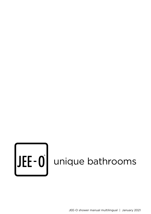# UEE-O unique bathrooms

JEE-O shower manual multilingual | January 2021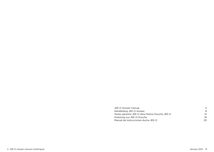| JEE-O shower manual                            |     |
|------------------------------------------------|-----|
| Handleiding JEE-O shower                       |     |
| Textes garantie JEE-O dans Notice Douche JEE-O |     |
| Anleitung zur JEE-O-Dusche                     | 16  |
| Manual de instrucciones ducha JEE-O            | 20. |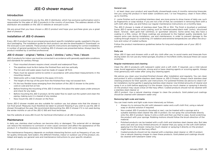# JEE-O shower manual

### <span id="page-2-0"></span>Introduction

This manual is presented to you by the JEE-O distributor, which has exclusive authorisation and is responsible for the sales of JEE-O products in the country of purchase. The address details of the distributor are available on the JEE-O website at www.jee-o.com.

We are proud that you have chosen a JEE-O product and hope your purchase gives you a great deal of pleasure.

### Installation of JEE-O showers

Every JEE-O product has an accompanying product-specific installation guide, supplied in the product packaging. The installation guide for each product can also be downloaded in 'Downloads' on the www.jee-o.com website. These product-specific instructions are leading for correct installation. A number of general guidelines for installing JEE-O showers are presented below. Always have the product installed by a certified professional.

### JEE-O shower - original / fatline / pure / slimline / soho / flow / bloom

JEE-O products for indoor use must be connected in accordance with generally applicable conditions and standards for sanitary fittings.

- Floor mounted showers require a level, smooth and waterproof floor.
- The pipelines must lie 8cm below the finished floor and rise vertically.
- The hot and cold water pipes must be made of copper (Ø 15.3)
- Pipes must be spaced centre-to-centre in accordance with prescribed measurements in the mounting manual.
- Weld joints with a male thread to the pipes (1/2 inch).
- The height of the top of the joint from the finished floor may not exceed 4cm.
- Fit the two flexible hoses emerging from the bottom of the JEE-O shower to the joints: cold on cold and hot on hot.
- Before finishing the mounting of the JEE-O shower, first place the water pipes under pressure and check for any leaks.
- Before mounting the JEE-O product, let the water flow to wash-out the system and clean the piping, making sure it is cleared of any residue.
- Now mount the JEE-O shower on the floor.

Some JEE-O shower models are also suitable for outdoor use, but please note that the shower is not frost-proof. Measures must therefore be taken to prevent freezing if you wish to use the JEE-O shower throughout the year. We recommend dismounting the JEE-O shower if it is not used during the winter months or use of the JEE-O 365 anti frost technique.

See the website at www.JEE-O.com for technical information on all JEE-O products.

### **Maintenance**

In daily use, stainless steel surfaces can become dirty or damaged. This external dirt or damage can reduce the resistance to corrosion or even cause corrosion and affect the appearance of the product. It is therefore necessary to maintain the stainless steel with some regularity.

The maintenance frequency depends on multiple interacting factors such as frequency of use, water quality (limescale, hard water), the different finishes, indoor or outdoor use of the product, etc. Adapt and apply our general care and maintenance instructions to your specific situation.

### General care

1 - at least clean your product and specifically showerheads every 6 months removing limescale. Are you using the product in hard water conditions and  $/$  or low frequency; clean it more often, up to monthly.

2 - some finishes such as polished stainless steel, are more prone to show traces of daily use, such as fingerprints or soap residue. If you are not a fan of that, be consistent in removing them with a soft cloth after daily use and follow our regular maintenance instructions on a monthly base.

The JEE-O shower is made of stainless-steel Type 316 or 304. The finish is brushed or polished. Some JEE-O series have an extra coating, such as 'hammercoated black matt' (soho), 'structured black', 'bronze', 'dark gold mat' (slimline), or 'gunmetal' (bloom). Some series may also have a coating in a RAL colour. All these coatings are produced to the highest quality standards, but require extra care during installation, use and maintenance, in order to prevent damage to the coating through impact or scratching. UV radiation and extreme temperatures can affect the structure and colour of coated surfaces.

Follow the product maintenance guidelines below for long and enjoyable use of your JEE-O product.

### Daily use

Wipe JEE-O taps and showers with a soft dry cloth after use, to avoid marks and limescale from drying water. Do not use any metal sponges, brushes or microfibre cloths, because these can cause scratches.

### Regular maintenance and cleaning

Clean the JEE-O products with lukewarm water and a soft cloth. If required, use a mild natural soap. Avoid aggressive chemicals, strong acid or base cleaning agents or scouring agents. Always rinse generously with water after using any cleaning agent.

We advise you clean your brushed-finished shower after installation and regularly. You can clean and protect it with a suitable stainless steel cleaner or JEE-O Protect. Always check stainless steel cleaning products for their specific user instructions. For polished finishes we advice to clean it after installation, but be gentle in applying stainless steel cleaner. Use limited amounts of cleaner and spray it on a cloth before applying it to the shower. Using too much cleaner or spraying it directly on the product may cause a blue oil-like hazy effect. Coated products should not be cleaned with a stainless steel cleaner or

JEE-O protect. Use a natural cleaning vinegar to clean the products. Gold plated pvd coatings should be cleaned with lukewarm water only

### Removing light scale and marks

You can treat marks and light scale more intensively as follows.

- Always try to remove the dirt with lukewarm water and a soft cloth first, using a natural soap or alcohol solution if required.
- Non-coated JEE-O products (brushed or raw), can be treated with a sponge and a suitable stainless-steel cleaner like JEE-O protect. Do not spray the concentrate directly onto the JEE-O product. Spray it onto a cloth and then use that to wipe. Avoid scratching the product with your sponge. Rubbing motions should follow the brush-direction of the material.
- Polished products can be treated with a soft cloth and stainless steel cleaner also. But take extra care and use only limited amounts of cleaner that you spray on the soft cloth before applying it to the shower. Using too much cleaner or spraying it directly on the product might leave a blue oil-like hazy effect.
- Coated products should not be cleaned with a stainless steel cleaner or JEE-O protect. Use a natural cleaning vinegar to clean these products. Gold plated pvd coatings should be cleaned with lukewarm water only.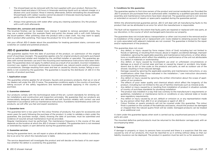- The showerhead can be removed with the tool supplied with your product. Remove the shower-head and place it 24 hours in limescale resolving liquid such as natural vinegar or a diluted citric acid solution. Rinse it intensly afterwards, before reinstalling the showerhead. Showerheads with rubber nozzles cannot be placed in limescale resolving liquids. Just gently rub the nozzles while water flows.
- Always rinse generously with water after using any cleaning substance. Dry the product with a soft cloth afterwards.

### Persistent dirt, corrosion and scratches

The brushed finishes can be treated more intense if needed to remove persistent stains. You may use a metal polisher (for example Peek) and polish the shower with a soft cloth following the brush-pattern. After polishing clean the product with a clean cloth. You may want to apply JEE-O protect after polishing. Then leave the product for 12 to 24 hrs untouched.

Ask your official JEE-O dealer about the possibilities for treating persistent stains, corrosion and scratches on coated and polished products.

### JEE-O guarantee conditions

The guarantee applies from the date of purchase of the product, on submission of the original proof of purchase (receipt). The guarantee applies only for original products and parts purchased from an authorised retailer and installed by the certified installer or specialist. The guarantee applies with normal domestic use and if the mounting and maintenance instructions have been followed. The guarantee does not apply if a defect arose as a result of an accident, incorrect installation, incorrect use, neglect, incorrect maintenance, incompetent use, natural events and/or unforeseen circumstances. Damage resulting from wear and tear or caused by shocks, bumps, falling or accidents is not covered by the guarantee. The guarantee is issued by the distributor of JEE-O in the country of product purchase.

### 1. Application scope

The guarantee scheme applies for all showers, faucets and accessory products, that we or one of our dealers sell under the JEE-O name. The guarantee conditions apply in the country of purchase, taking account of the safety regulations and technical standards applying in the country of purchase.

### 2. Guarantee statement

Our products comply with the technological state-of-the-art, current standards for drinking water installations and construction and inspection principles. We guarantee that our products are immaculately designed, produced and delivered and will function reliably with correct use and treatment in accordance with our maintenance instructions. If problems nevertheless arise with our products, we will offer you fast and expert assistance.

### 3. Guarantee term

The guarantee term is two years for the colour finishes of products, five years for accessories and seven years for parts following the purchase of the product. In order to validate a claim under the guarantee, the purchase receipt, clearly showing the date of purchase, must be submitted and evidence of (sound) annual maintenance must be provided.

Regular maintenance must be performed. The maintenance frequency in the course of the year depends on the location at which the JEE-O shower is installed. The guarantee term is not renewed or extended by repairs or part deliveries during the guarantee period.

### 4. Guarantee services

During the guarantee term, we will repair or place all defective parts where the defect is attributable to an error for which the manufacturer is liable.

The service department will investigate the product and will decide on the basis of its own expertise whether the defect is covered by the guarantee.

### 5. Conditions for this guarantee

The guarantee applies to first-time owners of the product and normal residential use. Provided the JEE-O products are purchased from an authorized seller, installed by a qualified specialist and the assembly and maintenance instructions have been observed. The guarantee period is not renewed or extended on account of repairs or spare parts supplied during the guarantee period.

Within the aforementioned guarantee period, JEE-O will deal with all manufacturing faults to the product that can be attributed to an error for which the manufacturer is responsible.

The fault will be repaired to the extent that faulty parts are repaired or replaced with new parts, at our discretion, in the course of which exchanged parts become our property.

The guarantee does not include labour, transportation or other cost incurred in the removal and/or re-installation of the original unit or replacement unit. Costs related to obtaining access for repair or costs associated with adjacent materials are not covered. The guarantee is limited to the repair and/or replacement of the products.

This guarantee does not cover:

- Any defect, or injury caused by force majeur (Acts of God) including but not limited to floods or lightning, or resulting from misuse, abuse or neglect, accidental damage, improper installation, ignoring the applicable assembly and maintenance instructions, or other alterations or modifications which affect the reliability or performance of the unit not attributable to a defect in materials or workmanship;
- Any defect, or injury caused by incompetent use and/ or unforeseen circumstances or damage as a result of normal wear and tear or caused by impact or accident. Any breakdowns due to dirt or lime scale on the products and parts, as well as outdoor use of the shower, resulting in frost induced damage.
- Damage caused by ignoring the applicable assembly and maintenance instructions, or any modifications other than those indicated in the installation / care instruction documents accompanying the product;
- Any defect or injury caused by ignoring the written information about the scope of application of our products.
- The effects of poor water quality and chemical attack which affect the longevity of the product, including but not limited to the use of harmful chemicals such as mineral acids.
- Any defect or injury caused by or resulting from installation of product in situation outside of country of purchase standards for plumbing installation
- The product was installed in a way that was contrary to the manufacturer's requirements or guidelines, installation or maintenance terms or conditions or any national state or locate area regulatory requirements.
- Any defect or injury caused by an act, default or omission or, or any representation made by, any person other than JEE-O or an employee or agent of JEE-O
- Colour finishes on quartz products will not be covered under this guarantee. The colour finish is painted on the outside of the bathtubs and basins, should the product be damaged or chipped then the natural quartz finish will be visible. Damaged products can be treated at an additional cost.

A claim under the guarantee lapses when work is carried out by unauthorised persons or if foreign parts are used.

The mounted defective parts/products must be returned to the distributor carriage paid, with an accompanying letter.

### 5. Damage

If damage to property or injury to persons have occurred and there is a suspicion that this was caused by one of our products, this must be reported to us in writing without delay so that our liability insurance can be deployed. The product in question must be sent to us for assessment.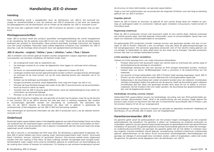# Handleiding JEE-O shower

### <span id="page-4-0"></span>Inleiding

Deze handleiding wordt u aangeboden door de distributeur van JEE-O, die exclusief bevoegd en verantwoordelijk is voor de verkoop van JEE-O producten in het land van aankoop. De adresgegevens van de distributeur zijn te vinden op de website van JEE-O: www.jee-o.com

Wij zijn trots dat u gekozen heeft voor een JEE-O product en wensen u veel plezier met uw aankoop.

### Montagevoorschriften

Ieder JEE-O product heeft een product specifieke montagehandleiding die wordt meegeleverd in de verpakking. Op de website www.JEE-O.com zijn onder "downloads" ook de montage handleidingen per product te downloaden. Deze product-specifieke montage instructies zijn leidend voor een juiste installatie. Hieronder staan enkele algemene richtlijnen voor installatie van JEE-O douches. Laat de montage altijd uitvoeren door een gediplomeerd professional.

### JEE-O douche - original / fatline / pure / slimline / soho / flow / bloom

JEE-O artikelen voor binnen gebruik moeten worden aangesloten volgens algemeen geldende voorwaarden van sanitaire installaties. Dit behelst onder meer:

- De ondergrond moet vlak en waterdicht zijn.
- De leidingen moeten 8 cm onder de afgewerkte vloer liggen en verticaal recht omhoog komen.
- De koud- en warmwaterleidingen moeten zijn uitgevoerd in koper (Ø 15,3)
- Leidingen moeten hart op hart gepositioneerd worden conform voorgeschreven afmetingen en verticaal uit de vloer komen. Let op dit moet allemaal binnen een diameter van 6 cm gebeuren.
- Soldeer op de leidingen puntstukken (Ø15,5).
- Hoogte bovenkant puntstuk vanaf afgewerkte vloer mag niet hoger zijn dan 4 cm.
- Monteer de twee flexibele slangen die onder uit de JEE-O douche komen op de puntstukken, koud op koud en warm op warm.
- Voordat men de JEE-O douche gaat afmonteren, eerst de waterleidingdruk erop zetten en controleren op eventuele lekkage.
- Monteer nu de JEE-O douche op de vloer.

Sommige JEE-O douche modellen zijn ook geschikt om buiten toe te passen, maar let op de douche is niet vorstvrij. Wil je de JEE-O douche het hele jaar door in werking toepassen dan moeten er voorzieningen getroffen worden om bevriezing te voorkomen. Wij adviseren dan ook om de JEE-O douche te demonteren als deze niet in gebruik is gedurende de winterperiode, of het toepassen van het JEE-O 365 anti-bevriezing systeem.

Voor afmetingen en technische informatie van alle JEE-O producten kunt u op de website terecht: www.jee-o.com

### Onderhoud

Roestvast stalen oppervlakken raken in het dagelijks gebruik vervuild of beschadigd. Deze vervuiling van buitenaf kan de weerstand tegen corrosie verminderen of zelfs corrosie veroorzaken en beïnvloedt het uiterlijk van de producten. Het is daarom noodzakelijk dat het roestvast staal met enige regelmaat wordt onderhouden.

De JEE-O douche is vervaardigd van RVS type 304. De afwerking is geborsteld of gepolijst. Enkele JEE-O series hebben een extra coating, zoals 'hammercoated black matt' (soho), 'structured black' (slimline), 'bronze' (slimline) of 'gunmetal' (bloom). Ook kunnen enkele series uitgevoerd worden met een coating in RAL-kleur. Al deze coatings worden vervaardigd naar hoogste kwaliteitstandaard, maar vragen extra zorg bij installatie, gebruik en onderhoud, om beschadiging van de coating door stoten of krassen te voorkomen. UV-straling en een extreme temperatuur kunnen

de structuur en kleur beïnvloeden van gecoate oppervlakten.

Volgt u voor het onderhouden van uw producten de volgende richtlijnen voor een lang en plezierig gebruik van uw JEE-O product

### Dagelijks gebruik

Neem de JEE-O kranen en douches na gebruik af, met zachte droge doek om vlekken en aanslag uit opdrogend water te voorkomen. Gebruik geen (metalen) schuurspons, harde borstel of microfibre doek.

### Regelmatig onderhoud

Maak de JEE-O producten schoon met lauwwarm water en een zachte doek. Gebruik eventueel een zachte groene zeep. Vermijdt bijtende chemicaliën, zuren of schuurmiddelen. Spoel met ruim water om restanten schoonmaakmiddel te verwijderen.

De geborstelde RVS producten (zonder coating) kunnen ook gereinigd worden met een rvs-reiniger of JEE-O Protect. Gebruikt u een rvs-reiniger, volg dan altijd de gebruiksaanwijzingen op het reinigingsproduct. Wij adviseren gepolijste producten niet of met slechts matig gebruik van rvs-reiniger te behandelen en deze altijd eerst op een doek aan te brengen. Gecoate producten kunnen niet met rvs-reiniger behandeld worden.

### Lichte aanslag en vlekken verwijderen.

Vlekken en lichte aanslag kunt u als volgt intensiever behandelen.

- Probeer altijd eerst met lauwwarm water een zachte doek en eventueel een zachte zeep of alcoholoplossing de aanslag te verwijderen
- Hardnekkige aanslag kan met een sponsje en RVS reiniger behandeld worden. Voorkom krassen door uw spons. Wrijfbewegingen moet u uitvoeren in de polijstrichting van het materiaal.
- Uw douche of kraan behandelen met JEE-O Protect helpt aanslag tegengaan. Spuit JEE-O Protect op een zachte doek en poets daarmee het schoongemaakte oppervlak.
- Kalkaanslag in de douchekop kan veelal verwijderd worden door de rubberen mondstukjes zachtjes te bewegen tijdens het gebruik van de douche. Heeft de douchekop geen rubberen mondstukjes dan kan deze ook gereinigd worden door deze 24 uur te weken in schoonmaakazijn. Na het inweken met ruim water spoelen. De douchekop kan gedemonteerd worden met de bijgeleverde sleutel.

### Hardnekkige vervuiling, corrosie, krassen

Geborsteld RVS oppervlakten kunnen bij hardnekkige vervuiling met een RVS-polijstmiddel gepoetst worden. Bijvoorbeeld 'Peek'. Wrijf in de polijstrichting van het product. Maak daarna het product weer schoon en bescherm het met een rvs-beschermer, bijvoorbeeld JEE-O Protect. Laat het product daarna 12 tot 24 uur onaangeroerd.

Bij hardnekkige vervuiling, corrosie en krassen op gecoate en gepolijste producten raadpleeg de distributeur of uw officiële JEE-O dealer voor de mogelijkheden.

### Garantievoorwaarden JEE-O

De garantie geldt vanaf de aankoopdatum van het product tegen overlegging van het originele aankoopbewijs (de kassabon). De garantie is alleen van toepassing op originele producten en onderdelen, gekocht van een geautoriseerd wederverkoper en geïnstalleerd door een gecertificeerd installateur of specialist. De garantie geldt bij normaal huishoudelijk gebruik en indien de montageen onderhoudsvoorschriften zijn gevolgd. De garantie geldt niet als het defect is ontstaan door een ongeluk, onjuiste installatie, onjuist gebruik, verwaarlozing, verkeerd onderhoud, ondeskundig gebruik, gebeurtenissen uit de natuur en/of onvoorziene omstandigheden. Beschadigingen ten gevolge van slijtage of veroorzaakt door schokken, stoten, vallen of ongelukken, vallen niet onder de garantie. De garantie wordt afgegeven door de distributeur van JEE-O.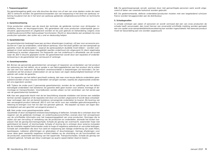### 1. Toepassingsgebied

De garantieregeling geldt voor alle douches die door ons of een van onze dealers onder de naam JEE-O verkocht worden. De garantievoorwaarden zijn van toepassing in het land van aankoop: rekening houdend met de in het land van aankoop geldende veiligheidsvoorschriften en technische normen.

### 2. Garantieverklaring

Onze producten voldoen aan de stand der techniek, de geldende normen voor drinkwater- installaties, bouw- en keuringsprincipes. Wij garanderen dat onze producten onberispelijk geconstrueerd, geproduceerd en uitgeleverd worden en bij juist gebruik en behandeling volgens onze onderhoudsvoorschriften betrouwbaar functioneren. Mocht er desondanks een probleem bij onze producten optreden, dan zullen wij u snel en deskundig helpen.

### 3. Garantietermijn

De garantietermijn bedraagt twee jaar op kleur afwerkingen (coating), vijf jaar voor accessoire producten en 7 jaar op onderdelen, vanaf datum aankoop. Voor het doen gelden van een aanspraak op garantie, moet de aankoopbon – waaruit de aankoopdatum duidelijk moet blijken – worden overgelegd en moet aantoonbaar (deugdelijk) jaarlijks onderhoud zijn uitgevoerd. Er dient regelmatig onderhoud te worden uitgevoerd. De frequentie van het onderhoud is afhankelijk van de locatie waar de JEE-O douche geplaatst wordt. De garantietermijn wordt door een reparatie of onderdelenlevering in de garantietijd niet vernieuwd of verlengd.

### 4. Garantieprestaties

4.1. Binnen de genoemde garantietermijn vervangen of repareren wij onderdelen van het product ter oplossing van het defect, als er sprake is van fabricagedefecten aan het product die te wijten zijn aan een fout waarvoor de fabrikant verantwoordelijk is (beperkingen zie hieronder). De servicedienst zal het product onderzoeken en zal op basis van eigen deskundigheid beslissen of het gebrek valt onder de garantie.

4.2. De reparatie van het defect geschiedt zodanig, dat naar onze keuze defecte onderdelen gerepareerd worden of door nieuwe onderdelen vervangen worden, waarbij de uitgewisselde onderdelen ons eigendom worden.

4.3. Tijdens de onder punt 3 genoemde garantietermijn, worden de ter opheffing van het defect benodigde onderdelen niet berekend. De garantie dekt geen kosten voor arbeid, montage of demontage en transportkosten. Voorrijdkosten worden alleen na het verstrijken van het eerste jaar van de garantietermijn berekend.

4.4. Kan een gegronde klacht met de ter beschikking staande middelen niet binnen een redelijke termijn worden opgelost of de reparatie niet door ons worden uitgevoerd of wordt deze ontoelaatbaar vertraagd, dan zijn wij bereid kosteloos vervangende onderdelen te leveren. Bij levering van een vervangend product behoudt JEE-O zich het recht voor een redelijke gebruiksvergoeding in rekening te brengen voor het tot dan toe genoten gebruik. Wij bepalen op basis van eigen deskundigheid wat een geschikt vervangend product is.

### 4.5. Niet onder onze garantieprestatie vallen:

Opzettelijk of door slordigheid ontstane beschadiging of defecten. Schade die is ontstaan door het negeren van de geldende montage- en onderhoudsvoorschriften, evenals door het verwaarlozen van de schriftelijke informatie over het toepassingsgebied van onze producten. Storingen die te wijten zijn aan vervuiling of verkalking van de producten en onderdelen, alsmede het buiten toepassen met als gevolg bevriezingschade. Schade als gevolg van overmacht, waaronder maar niet gelimiteerd tot brand- of stormschade. Schade of storing die is ontstaan door externe invloeden die de installatie negatief beïnvloeden zoals te hoge of negatieve waterdruk en vervuilde leidingen. Schade aan onderdelen die door hun aard en toepassing aan slijtage onderhevig zijn zoals filters, keerkleppen, rubberen afdichtingen en glijstukken of doucheslangen. Geringe afwijkingen voor zover deze geen wezenlijk negatieve invloed hebben op de uitstraling en de functionaliteit van de producten, waaronder bekrassing van het oppervlak. Transportschades. Schade als gevolg van verkeerd gebruik. Schade aan kleur-coatingen op quartz oppervlakten (bad en basin).

4.6. De garantieaanspraak vervalt, wanneer door niet gemachtigde personen werk wordt uitgevoerd of delen van vreemde herkomst worden gebruikt.

4.7. De gedemonteerde, defecte onderdelen/producten moeten met een begeleidend schrijven franco worden teruggezonden aan de distributeur.

### 5. Schadegevallen

Is schade ontstaan aan zaken of personen en wordt vermoed dat een van onze producten de schade heeft veroorzaakt, dan moet hiervan van onverwijld schriftelijk melding worden gemaakt aan ons opdat onze aansprakelijkheidsverzekering kan worden ingeschakeld. Het bewuste product moet ter beoordeling aan ons worden opgestuurd.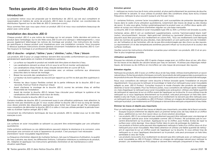# <span id="page-6-0"></span>Textes garantie JEE-O dans Notice Douche JEE-O

### Introduction

La présente notice vous est proposée par le distributeur de JEE-O, qui est seul compétent et responsable en matière de vente de produits JEE-O dans le pays d'achat. Les coordonnées du distributeur figurent sur le site Web de JEE-O (www.jee-o.com).

Nous sommes fiers que vous ayez choisi un produit JEE-O et nous vous souhaitons beaucoup de plaisir avec votre achat.

### Installation des douches JEE-O

Chaque produit JEE-O a une notice de montage qui lui est propre. Cette dernière est jointe au produit dans l'emballage. Sur le site Web www.JEE-O.com à la rubrique « téléchargements », vous pouvez également télécharger les notices de montage par produit. Ces instructions de montage spécifiques à chaque produit sont impératives pour une installation correcte. Vous trouverez ci-dessous quelques instructions d'ordre général concernant l'installation de douches JEE-O. Confiez toujours le montage à un professionnel diplômé.

### JEE-O douche - original / fatline / pure / slimline / soho / flow / bloom

Les produits JEE-O pour un usage intérieur doivent être raccordés conformément aux conditions généralement applicables en matière d'installations sanitaires.

- La surface sur laquelle le produit est installé doit être plane et étanche à l'eau.
- Les canalisations doivent se situer à 8 cm sous le sol fini et monter verticalement.
- Les canalisations d'eau froide et d'eau chaude doivent être en cuivre (Ø 15,3).
- Les canalisations doivent être positionnées avec un entraxe conforme aux dimensions prescrites dans le manuel de montage.
- Braser les raccords des canalisations (1/2'').
- La hauteur du bord supérieur du raccord par rapport au sol fini ne doit pas être supérieure à 4 cm.
- Montez les deux tuyaux flexibles sortant de la partie inférieure de la douche JEE-O aux raccords, froid sur froid et chaud sur chaud.
- Avant d'achever le montage de la douche JEE-O, ouvrez les arrivées d'eau et vérifiez l'étanchéité de l'installation.
- Avant de monter la douche JEE-O, laissez l'eau s'écouler pour nettoyer le système et les canalisations afin d'éliminer toute trace de résidu.
- Montez ensuite la douche JEE-O sur le sol.

Certains modèles de douche JEE-O conviennent aussi à une utilisation extérieure, mais attention, la douche n'est pas résistante au gel. Si vous voulez utiliser la douche JEE-O tout au long de l'année, vous devez prendre des dispositions appropriées pour éviter tout risque de gel. Par conséquent, nous conseillons de démonter la douche JEE-O si celle-ci n'est pas utilisée pendant la période hivernale ou d'utiliser l'option antigel JEE-O 365.

Concernant les informations techniques de tous les produits JEE-O, rendez-vous sur le site Web www.jee-o.com.

### Entretien

Les surfaces en acier inoxydable se salissent ou peuvent être endommagées par une utilisation quotidienne.

Cette pollution extérieure ou ces détériorations peuvent réduire la résistance à la corrosion, voire provoquer une corrosion et nuire à l'apparence du produit. C'est pourquoi il est nécessaire d'entretenir l'acier inoxydable régulièrement.

La fréquence d'entretien dépend de multiples facteurs, tels que la fréquence d'utilisation, la qualité de l'eau (calcaire, eau dure), les différentes finitions, l'utilisation intérieure ou extérieure du produit, etc. Adaptez et appliquez nos instructions générales d'entretien et de maintenance à votre situation spécifique.

1 - nettoyez au moins tous les 6 mois votre produit, et plus particulièrement les pommes de douche, pour éliminer le calcaire. Si vous utilisez le produit dans des conditions d'eau dure et/ou à basse fréquence, nettoyez-le plus souvent (jusqu'à une fois par mois).

2 - certaines finitions, comme l'acier inoxydable poli, sont susceptibles de présenter davantage de traces dans le cadre d'une utilisation quotidienne, notamment des traces de doigt ou des résidus de savon. Si cela vous gêne, frottez systématiquement le produit avec un chiffon doux après utilisation et suivez nos instructions d'entretien régulier sur une base mensuelle.

La douche JEE-O est réalisée en acier inoxydable type 316 ou 304. La finition est brossée ou polie.

Certaines séries JEE-O ont un revêtement supplémentaire, comme 'hammercoated black matt' (soho), 'structured black', 'bronze', 'dark gold mat' (slimline) ou 'gunmetal' (bloom). D'autres séries peuvent aussi être pourvues d'un revêtement en coloris RAL. Tous ces revêtements sont fabriqués selon les normes de qualité les plus élevées, mais demandent un soin particulier lors de l'installation, de l'utilisation et de l'entretien, afin de ne pas être endommagés par des chocs ou des rayures. Le rayonnement UV et des températures extrêmes peuvent influer sur la structure et la couleur des surfaces revêtues.

Veuillez suivre les instructions d'entretien suivantes pour entretenir vos produits JEE-O et en profiter le plus longtemps possible.

### Utilisation quotidienne

Essuyez les robinets et douches JEE-O après chaque usage avec un chiffon doux et sec, afin d'éviter les traces et les dépôts de calcaire laissés par l'eau en séchant. N'utilisez pas d'éponges métalliques, de brosses ou de chiffons en microfibre car cela risque de provoquer des rayures.

### Entretien régulier.

Nettoyez les produits JEE-O avec un chiffon doux et de l'eau tiède. Utilisez éventuellement un savon naturel doux. Évitez les produits chimiques corrosifs, les produits de nettoyage acides ou puissants ou les produits à récurer. Rincez toujours abondamment à l'eau après avoir utilisé un produit de nettoyage.

Nous vous conseillons de nettoyer votre douche à finition brossée après l'installation et ensuite régulièrement. Vous pouvez la nettoyer et la protéger à l'aide d'un nettoyant pour acier inoxydable adapté ou avec JEE-O Protect. Consultez toujours le mode d'emploi des produits de nettoyage destinés à l'acier inoxydable. Pour les finitions polies, nous conseillons de nettoyer après l'installation, mais d'appliquer le nettoyant pour acier inoxydable avec précaution. Utilisez une faible quantité de nettoyant et vaporisez-le sur un chiffon avant de l'appliquer sur la douche. Si vous utilisez trop de nettoyant ou si vous l'appliquez directement sur le produit, cela peut provoquer un halo bleu semblable à celui de l'huile. Les produits recouverts d'un revêtement ne doivent pas être nettoyés avec un nettoyant pour acier inoxydable ou JEE-O Protect. Utilisez un vinaigre de nettoyage naturel pour nettoyer le produit. Les revêtements en PVD plaqué or doivent être nettoyés uniquement à l'eau tiède.

### Éliminer les traces et dépôts peu importants

Pour un nettoyage plus intensif des traces et dépôts peu importants, procédez de la façon suivante.

- Essayez toujours d'éliminer les dépôts dans un premier temps avec de l'eau tiède et un chiffon doux, additionné ou non d'un savon doux ou d'une solution alcoolique.
- Les produits JEE-O ne comportant pas revêtement peuvent être nettoyés avec une éponge et un nettoyant spécial pour acier inoxydable comme JEE-O Protect. Ne pulvérisez pas le concentré directement sur le produit. Appliquez-le sur le chiffon, puis frottez. Évitez de rayer la surface avec votre éponge. Vous devez frotter dans le sens de polissage du matériau.
- Les produits à finition polie peuvent être également nettoyés à l'aide d'un chiffon doux et d'un nettoyant pour acier inoxydable. Mais faites attention et utilisez une faible quantité de nettoyant et vaporisez-le sur un chiffon avant de l'appliquer sur la douche. Si vous utilisez trop de nettoyant ou si vous l'appliquez directement sur le produit, cela peut provoquer un halo bleu semblable à celui de l'huile.
- Les produits recouverts d'un revêtement ne doivent pas être nettoyés avec un nettoyant pour acier inoxydable ou JEE-O Protect. Utilisez un vinaigre de nettoyage naturel pour nettoyer le produit. Les revêtements en PVD plaqué or doivent être nettoyés uniquement à l'eau tiède.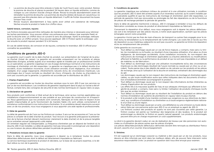- La pomme de douche peut être enlevée à l'aide de l'outil fourni avec votre produit. Retirez la pomme de douche et placez-la pendant 24 heures dans un liquide antitartre, comme du vinaigre ou une solution d'acide citrique diluée. Rincez-la ensuite abondamment avant de réinstaller la pomme de douche. Les pommes de douche dotées de buses en caoutchouc ne peuvent pas être placées dans un liquide détartrant. Il suffit de frotter doucement les buses lorsque l'eau coule.
- Rincez toujours abondamment à l'eau après avoir utilisé une substance de nettoyage. Séchez ensuite le produit à l'aide d'un chiffon doux.

### Saleté tenace, corrosion, rayures

Les finitions brossées peuvent être nettoyées de manière plus intense si nécessaire pour éliminer les taches persistantes. Vous pouvez utiliser une polisseuse pour métaux (par exemple Peek) et polir la douche avec un chiffon doux en suivant le sens de polissage. Après le polissage, nettoyez la douche avec un chiffon propre. Vous pouvez appliquer JEE-O Protect après le polissage. Laissez ensuite le produit reposer pendant 12 à 24 heures.

En cas de saleté tenace, de corrosion et de rayures, contactez le revendeur JEE-O officiel pour connaître les possibilités.

## Conditions de garantie JEE-O

La garantie court à partir de la date d'achat du produit, sur présentation de l'original de la preuve d'achat (ticket de caisse). La garantie est accordée uniquement sur les produits et pièces détachées d'origine, achetés auprès d'un revendeur agréé et installés par un professionnel certifié ou un spécialiste. La garantie s'applique en cas d'usage domestique normal et si les instructions de montage et d'entretien ont été respectées. La garantie ne s'applique pas si le défaut résulte d'un accident, d'une installation incorrecte, d'une utilisation erronée, d'une négligence, d'un entretien inadapté, d'un usage inapproprié, d'événements naturels et/ou de circonstances imprévues. Les dommages dus à l'usure normale ou résultant de chocs, d'impacts, de chutes ou d'accidents ne sont pas couverts par la garantie. La garantie est accordée par le distributeur de JEE-O.

### 1. Champ d'application

La garantie est accordée sur toutes les douches vendues sous le nom JEE-O par nos services ou par un de nos distributeurs. Les conditions de garantie s'appliquent dans le pays où l'achat a été effectué, compte tenu des consignes de sécurité et des normes techniques en vigueur dans ce pays.

### 2. Déclaration de garantie

Nos produits sont conformes à l'état actuel de la technique, ainsi qu'aux normes applicables aux installations d'approvisionnement en eau potable et aux principes de construction et d'inspection. Nous garantissons que nos produits sont construits, fabriqués et livrés dans le respect d'une qualité irréprochable et qu'ils fonctionnent de manière fiable s'ils sont utilisés correctement et entretenus conformément à nos instructions d'entretien. Si un problème devait néanmoins survenir avec un de nos produits, nous nous engageons à vous apporter une aide rapide et professionnelle.

### 3. Délai de garantie

Le délai de garantie est de 2 ans sur les finitions en couleur, 5 ans sur les accessoires et 7 ans sur les pièces à compter de la date d'achat du produit. Tout recours à la garantie présuppose la présentation de la facture d'achat (devant mentionner clairement la date d'achat) et de la preuve tangible qu'un entretien annuel (approprié) a été réalisé.

Un entretien régulier est indispensable. La fréquence d'entretien par an dépend de l'endroit où la douche JEE-O est installée. Le délai de garantie n'est pas renouvelé ni prolongé par une réparation ou une livraison de pièces détachées pendant la période de garantie.

### 4. Prestations incluses dans la garantie

Dans le délai de garantie, nous nous engageons à réparer ou à remplacer toutes les pièces détachées défectueuses dont le défaut est directement imputable au fabricant.

Le service technique examinera le produit et décidera, sur la base de sa propre expertise, si le défaut relève ou non de la garantie.

### 5. Conditions de garantie

La garantie s'applique aux acheteurs initiaux du produit et à une utilisation normale, à condition que les produits JEE-O aient été achetés auprès d'un revendeur autorisé, qu'ils soient installés par un spécialiste qualifié et que les instructions de montage et d'entretien aient été respectées. La période de garantie n'est pas renouvelée ou prolongée du fait des réparations ou de la fourniture de pièces de rechange pendant la période de garantie.

Dans le délai de garantie mentionné ci-dessus, JEE-O s'engage à remédier à tous les défauts de fabrication constatés au niveau du produit et directement imputables au fabricant.

Concernant la réparation d'un défaut, nous nous engageons soit à réparer les pièces défectueuses soit à les remplacer par des pièces neuves, à notre seule appréciation, sachant que les pièces échangées seront notre propriété.

La garantie n'inclut pas les frais de main-d'œuvre, de transport ou autres frais engagés pour le retrait et/ou la réinstallation ou le remplacement de l'unité d'origine. Les coûts liés à l'accès aux fins de réparation ou aux matériaux adjacents ne sont pas couverts. La garantie se limite à la réparation et/ou au remplacement des produits.

Cette garantie ne couvre pas :

- Tout défaut ou dommage causé par un cas de force majeure, y compris, mais sans s'y limiter, les inondations ou la foudre, ou résultant d'une mauvaise utilisation, d'un abus ou d'une négligence, de dommages accidentels, d'une installation incorrecte, du non-respect des instructions de montage et d'entretien applicables ou d'autres altérations ou modifications affectant la fiabilité ou la performance du produit et qui ne sont pas imputables à un défaut de matériau ou de fabrication ;
- Tout défaut ou dommage causé par une utilisation incompétente et/ou des circonstances imprévues ou des dommages résultant de l'usure normale ou causés par un choc ou un accident. Toute panne due à des dépôts de saleté ou de calcaire sur les produits et les pièces de rechange, ainsi qu'à l'utilisation de la douche en extérieur, entraînant des dommages dus au gel.
- Les dommages causés par le non-respect des instructions de montage et d'entretien applicables, ou par toute modification autre que celles indiquées dans les documents d'instruction d'installation/entretien accompagnant le produit ;
- Tout défaut ou dommage causé par le non-respect des informations écrites inhérentes au champ d'application de nos produits.
- Les effets liés à la mauvaise qualité de l'eau et aux attaques chimiques qui affectent la longévité du produit, y compris, mais sans s'y limiter, l'utilisation de produits chimiques nocifs tels que les acides minéraux.
- Tout défaut ou dommage causé par ou résultant de l'installation du produit en dehors des normes d'installation de système de plomberie en vigueur dans le pays d'achat.
- Si le produit a été installé d'une manière contraire aux exigences ou aux directives du fabricant, aux conditions d'installation ou d'entretien ou à toute exigence réglementaire nationale d'un État ou d'une région.
- Tout défaut ou dommage causé par un acte, une défaillance ou une omission ou toute déclaration faite par une personne autre que JEE-O ou un employé ou agent de JEE-O.
- Les finitions couleur des produits en quartz ne sont pas couvertes par cette garantie. La finition couleur est peinte sur l'extérieur des baignoires et des lavabos. Si le produit est endommagé ou ébréché, la finition en quartz naturel apparaît. Les produits endommagés peuvent être pris en charge moyennant un coût supplémentaire.

Le droit à la garantie devient caduc en cas de réalisation de travaux par des personnes non autorisées ou d'utilisation de pièces autres que les pièces d'origine.

Les pièces détachées/produits défectueux démontés doivent être renvoyés au distributeur franco de port, assortis d'un courrier d'accompagnement.

### 5. Sinistres

S'il est supposé qu'un dommage corporel ou matériel a été causé par un de nos produits, nous devons en être informés par écrit dans les meilleurs délais, afin de pouvoir faire intervenir notre assurance responsabilité civile. Le produit en question doit nous être envoyé pour examen.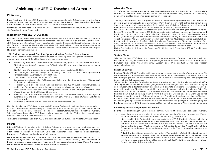# Anleitung zur JEE-O-Dusche und Armatur

### <span id="page-8-0"></span>Einführung

Diese Anleitung wird vom JEE-O-Vertreiber herausgegeben, dem die Befugnis und Verantwortung für den exklusiven Vertrieb der JEE-O-Produkte im Land des Ankaufs obliegt. Die Adressdaten des Vertreibers sind auf der Website von JEE-O zu finden: www.jee-o.com.

Wir freuen uns sehr, dass Sie sich für ein JEE-O-Produkt entschieden haben, und wünschen Ihnen viel Freude mit Ihrem Neuerwerb.

### Installation von JEE-O-Duschen

Im Lieferumfang jedes JEE-O-Produkts ist eine produktspezifische Installationsanleitung enthalten. Die Installationsanleitungen für die einzelnen Produkte stehen auch auf der Website www. JEE-O.com unter "Downloads" zum Herunterladen bereit. Diese produktspezifischen Anleitungen sind für die ordnungsgemäße Installation maßgeblich. Nachstehend finden Sie einige allgemeine Richtlinien für die Installation der JEE-O-Duschen. Lassen Sie die Installation immer von einer qualifizierten Fachkraft vornehmen!

### JEE-O douche - original / fatline / pure / slimline / soho / flow / bloom

Die JEE-O-Produkte für den Innenbereich müssen im Einklang mit den allgemeinen Bestimmungen und Normen für Sanitäranlagen angeschlossen werden.

- Bodenseitig montierte Duschen erfordern einen ebenen, glatten und wasserdichten Boden.
- Die Leitungen müssen 8 cm unter der Fußbodenoberfläche verlegt sein und senkrecht nach oben führen.
- Die Kalt- und Warmwasserleitungen müssen aus Kupfer bestehen (Ø 15,3).
- Die Leitungen müssen mittig im Einklang mit den in der Montageanleitung vorgeschriebenen Abmessungen verlegt sein.
- Löten Sie Fittings auf die Leitungen (1/2 Zoll).
- Der Abstand zwischen der Fußbodenoberfläche und der Oberkante des Fittings darf höchstens 4 cm betragen.
- Montieren Sie die zwei flexiblen Schläuche, die unter der JEE-O-Dusche verlegt werden, an die Fittings (kaltes Wasser auf kaltes Wasser, warmes Wasser auf warmes Wasser).
- Bevor Sie die Installation der Dusche fertigstellen, setzen Sie die Leitungen zunächst unter Wasserdruck, um die Dichtheit zu überprüfen.
- Bevor Sie das JEE-O-Produkt montieren, lassen Sie das Wasser fließen, um das System durchzuspülen und die Rohrleitungen zu reinigen. Prüfen Sie, dass etwaige Rückstände entfernt wurden.
- Montieren Sie nun die JEE-O-Dusche an den Fußbodenanschluss.

Manche Modelle der JEE-O-Dusche sind auch für den Außenbereich geeignet; beachten Sie jedoch, dass die Dusche nicht frostbeständig ist. Wenn die JEE-O-Dusche das ganze Jahr über im Freien betrieben werden soll, müssen geeignete Frostschutzmaßnahmen getroffen werden. Wir empfehlen Ihnen, die JEE-O-Dusche abzubauen, wenn sie im Winter nicht benutzt wird, oder die JEE-O-365-Anti-Frost-Technik zu nutzen.

Technische Informationen zu allen JEE-O-Produkten finden Sie auf unserer Website: www.jee-o.com

### **Pflege**

Edelstahlflächen können durch den täglichen Gebrauch verschmutzen oder beschädigt werden. Solche Verschmutzungen oder Schäden können die Korrosionsbeständigkeit verringern oder sogar Korrosion verursachen und das Aussehen des Produkts beeinträchtigen. Darum muss Edelstahl regelmäßig gepflegt werden.

Die Pflegehäufigkeit hängt von mehreren, sich wechselseitig beeinflussenden Faktoren ab, z. B. von der Häufigkeit der Nutzung, der Wasserqualität (Kalk, hartes Wasser), den verschiedenen Beschichtungen, der Verwendung des Produkts im Innen- oder Außenbereich usw. Passen Sie unsere allgemeinen Pflegeanweisungen an Ihre spezifische Situation an.

### Allgemeine Pflege

1 - Entfernen Sie mindestens alle 6 Monate die Kalkablagerungen von Ihrem Produkt und vor allem von den Duschköpfen. Wenn Sie das Produkt bei hartem Wasser und / oder selten verwenden, nehmen Sie die Reinigung öfter, bis zu einmal im Monat, vor.

2 - Einige Ausführungen wie z. B. polierter Edelstahl weisen eher Spuren des täglichen Gebrauchs auf wie z. B. Fingerabdrücke oder Seifenreste. Wenn Ihnen dies missfällt, achten Sie darauf, diese Spuren konsequent mit einem weichen Tuch nach jedem täglichen Gebrauch zu entfernen, und befolgen Sie unsere Anweisungen für die regelmäßige Wartung jeweils monatlich.

Die JEE-O-Dusche besteht aus Edelstahl des Typs 316 oder 304. Sie ist in gebürsteter und polierter Ausführung erhältlich. Manche JEE-O-Serien sind zusätzlich beschichtet, etwa "hammercoated black matt" (soho), "structured black" (slimline), "bronze", "dark gold mat" (slimline) oder "gunmetal" (bloom). Einige Modelle können auch mit einer Beschichtung in einer RAL-Farbe nach Wahl versehen werden. Alle Beschichtungen werden nach höchsten Qualitätsstandards ausgeführt, erfordern jedoch besondere Sorgfalt bei der Installation, Benutzung und Pflege, um eine Beschädigung der Beschichtung durch Stöße oder Kratzer zu vermeiden. UV-Strahlung und extreme Temperaturen können die Struktur und Farbe beschichteter Oberflächen beeinflussen.

Halten Sie sich bei der Pflege an die folgenden Richtlinien, damit Sie an Ihrem JEE-O-Produkt lange Freude haben.

### Tägliche Pflege

Wischen Sie Ihre JEE-O-Dusch- und -Waschtischarmaturen nach Gebrauch mit einem weichen, trockenen Tuch ab, um Flecken und Ablagerungen durch antrocknendes Wasser zu vermeiden. Benutzen Sie keine Metallschwämme, Bürsten oder Mikrofasertücher, weil sie Kratzer verursachen können.

### Regelmäßige Pflege

Reinigen Sie die JEE-O-Produkte mit lauwarmem Wasser und einem weichen Tuch. Verwenden Sie eventuell eine milde natürliche Seife. Vermeiden Sie ätzende Chemikalien, stark saure oder basische Reinigungsmittel und Scheuermittel. Spülen Sie nach der Verwendung von Reinigungsmittel immer mit reichlich Wasser nach.

Wir empfehlen Ihnen, Ihre Dusche bei gebürsteter Ausführung nach der Installation und regelmäßig zu reinigen. Sie können sie mit einem geeigneten Edelstahlreiniger oder JEE-O-Produkt reinigen und schützen. Bei Edelstahlreinigern beachten Sie bitte stets die besonderen Gebrauchsanweisungen. Bei polierten Oberflächen empfehlen wir eine Reinigung nach der Installation. Seien Sie aber vorsichtig bei der Verwendung von Edelstahlreinigern. Verwenden Sie nur eine kleine Menge Reiniger, den Sie auf ein Tuch sprühen, bevor Sie ihn auf der Dusche einsetzen. Wenn Sie zu viel Reiniger verwenden oder den Reiniger direkt auf das Produkt sprühen, kann ein blauer ölähnlicher trüber Film entstehen. Beschichtete Produkte sollten nicht mit einem Edelstahlreiniger oder JEE-O-Produkt gereinigt werden. Verwenden Sie einen natürlichen Essigreiniger für die Reinigung der Produkte. Vergoldete PVD-Beschichtungen sollten nur mit lauwarmem Wasser gereinigt werden.

### Entfernung leichter Ablagerungen und Flecken

Leichte Kalkablagerungen und Flecken können wie folgt intensiver behandelt werden.

- Versuchen Sie immer erst, den Schmutz mit einem weichen Tuch und lauwarmem Wasser, eventuell mit natürlicher Seife oder einer Alkohollösung, zu entfernen.
- Nicht beschichtete (gebürstete oder unbearbeitete) JEE-O-Produkte können mit einem Schwamm und einem geeigneten Edelstahlreiniger wie JEE-O Protect behandelt werden. Sprühen Sie das Konzentrat nicht direkt auf das JEE-O-Produkt. Sprühen Sie es auf ein Tuch, das Sie dann zum Wischen verwenden. Achten Sie darauf, das Produkt nicht mit dem Schwamm zu verkratzen. Reibende Bewegungen sind in Bürstrichtung des Materials auszuführen.
- Polierte Produkte können auch mit einem weichen Tuch und einem Edelstahlreiniger behandelt werden. Achten Sie unbedingt darauf, nur eine geringe Menge Reiniger zu verwenden, den Sie auf das weiche Tuch sprühen, bevor Sie ihn auf der Dusche anwenden. Wenn Sie zu viel Reiniger verwenden oder den Reiniger direkt auf das Produkt sprühen, kann ein blauer ölähnlicher trüber Effekt entstehen.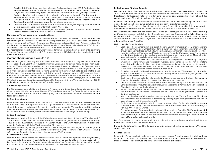- Beschichtete Produkte sollten nicht mit einem Edelstahlreiniger oder JEE-O Protect gereinigt werden. Verwenden Sie für die Reinigung dieser Produkte einen natürlichen Essigreiniger. Vergoldete PVD-Bescheinigungen sollten nur mit lauwarmem Wasser gereinigt werden.
- Der Duschkopf kann mit dem zum Lieferumfang Ihres Produkts gehörenden Werkzeug entfernt werden. Entfernen Sie den Duschkopf und legen Sie ihn 24 Stunden in eine Kalk lösende Flüssigkeit wie z. B. natürlichen Essig oder verdünnte Zitronensäure. Anschließend den Duschkopf gründlich abspülen, bevor Sie ihn wieder montieren.
- Duschköpfe mit Gummidüsen dürfen nicht in Kalk lösende Flüssigkeiten gelegt werden. Reiben Sie die Düsen nur vorsichtig unter fließendem Wasser ab.
- Nach der Verwendung eines Reinigungsmittels immer gründlich abspülen. Reiben Sie das Produkt anschließend mit einem weichen Tuch trocken.

### Hartnäckige Verschmutzungen, Korrosion, Kratzer

Die gebürsteten Oberflächen lassen sich bei Bedarf intensiver behandeln, um hartnäckige Verschmutzungen zu entfernen. Sie können ein Metallpoliermittel (z. B. Peek) verwenden und die Dusche mit einem weichen Tuch in Richtung des Bürstmuster polieren. Nach dem Polieren reinigen Sie das Produkt mit einem weichen Tuch. Gegebenenfalls können Sie nach dem Polieren JEE-O Protect anwenden. Dann lassen Sie das Produkt 12 bis 24 Stunden unberührt.

Bei hartnäckigen Verschmutzungen, Korrosion oder Kratzern erkundigen Sie sich bitte bei Ihrem Vertriebshändler oder offiziellen JEE-O-Händler nach den Möglichkeiten bei beschichteten und polierten Produkten.

### Garantiebedingungen von JEE-O

Die Garantie gilt ab dem Tag des Kaufs des Produkts bei Vorlage des Originals des Kaufbelegs (Kassenzettel). Die Garantie gilt ausschließlich für Originalprodukte und -teile, die bei einem autorisierten Wiederverkäufer erworben und von einem zertifizierten Installateur oder Experten installiert wurden. Die Garantie gilt bei normalem Haushaltsgebrauch und wenn die Montagevorschriften und Pflegehinweise beachtet wurden. Keine Garantie wird gewährt auf Defekte, die infolge eines Unfalls, einer nicht ordnungsgemäßen Installation oder Benutzung, der Vernachlässigung, falscher Pflege, unsachgemäßer Verwendung, von Naturereignissen und/oder unvorhergesehenen Umständen entstanden sind. Auch Schäden infolge von Verschleiß oder durch Schläge, Stöße, Stürze oder Unfälle sind von der Garantie ausgeschlossen. Die Garantie wird vom Vertriebshändler von JEE-O in dem Land, in dem das Produkt gekauft wurde, gewährt.

### 1. Anwendungsbereich

Die Garantieregelung gilt für alle Duschen, Armaturen und Zubehörprodukte, die von uns oder einem unserer Händler unter dem Namen JEE-O verkauft werden. Die Garantiebedingungen gelten im Land des Ankaufs unter Berücksichtigung der dort geltenden Sicherheitsvorschriften und technischen Normen.

### 2. Garantieerklärung

Unsere Produkte erfüllen den Stand der Technik, die geltenden Normen für Trinkwasserarmaturen und die Bau- und Prüfungsvorschriften. Wir garantieren, dass unsere Produkte einwandfrei konstruiert, hergestellt und ausgeliefert werden und bei sachgemäßer Verwendung und Behandlung gemäß unseren Pflegehinweisen zuverlässig funktionieren. Sollte dennoch einmal ein Problem mit unseren Produkten auftreten, bieten wir Ihnen schnelle und fachkundige Unterstützung.

### 3. Garantiezeitraum

Die Garantie beträgt 2 Jahre auf die Farbgebungen von Produkten, 5 Jahre auf Zubehör und 7 Jahre auf Ersatzteile nach dem Kauf des Produkts. Die Garantie gilt nur bei Vorlage des Kaufbelegs – aus dem das Kaufdatum eindeutig hervorgehen muss – und wenn nachweislich (in ordnungsgemäßer Weise) die jährliche Wartung durchgeführt wurde.

Das Produkt muss regelmäßig gewartet werden. Die Häufigkeit der Wartungen im Jahr hängt vom Standort ab, an dem die JEE-O-Dusche installiert wird. Eine Reparatur oder Ersatzteillieferung während des Garantiezeitraums führt nicht zu dessen Verlängerung.

### 4. Garantieleistungen

Während des Garantiezeitraums werden alle defekten Teile von uns repariert oder ausgetauscht, wenn der Defekt auf einen Produktfehler zurückzuführen ist, der dem Hersteller anzulasten ist. Der Servicedienst wird das Produkt untersuchen und auf der Grundlage seiner eigenen Fachkunde feststellen, ob es sich bei dem betreffenden Defekt um einen Garantiefall handelt.

### 5. Bedingungen für diese Garantie

Die Garantie gilt für Erstbesitzer des Produkts und bei normalem Haushaltsgebrauch, sofern die JEE-O-Produkte bei einem autorisierten Wiederverkäufer erworben und von einem zertifizierten Installateur oder Experten installiert wurden. Eine Reparatur oder Ersatzteillieferung während des Garantiezeitraums führt nicht zu dessen Verlängerung.

Innerhalb des oben genannten Garantiezeitraums behebt JEE-O alle Herstellungsfehler des Produkts, die auf einen Fehler zurückzuführen sind, der dem Hersteller anzulasten ist.

Die Reparatur des Produkts erfolgt, indem nach unserer Entscheidung defekte Teile repariert oder durch neue Teile ersetzt werden, wobei die ausgetauschten Teile unser Eigentum werden.

Die Garantie beinhaltet nicht den Arbeitslohn, Fracht- oder sonstige Kosten, die bei der Entfernung und/oder der erneuten Installation der Originaleinheit oder der Ersatzeinheit anfallen. Kosten, die entstehen, um sich Zugang für die Reparatur zu verschaffen, oder Kosten in Verbindung mit benachbarten Materialien sind nicht abgedeckt. Die Garantie beschränkt sich auf die Reparatur und/ oder den Ersatz der Produkte.

Nicht unter die Garantie fallen:

- Sach- oder Personenschäden, die durch höhere Gewalt (Naturereignisse), unter anderem Überschwemmung oder Blitzschlag, oder die durch eine unsachgemäße Verwendung, Missbrauch oder Vernachlässigung, beiläufige Schäden, unsachgemäße Installation, Nichteinhaltung der geltenden Montage- und Wartungsvorschriften oder Umbauten oder Änderungen, die die Zuverlässigkeit oder Leistung beeinträchtigen und nicht auf einen Material- oder Verarbeitungsfehler zurückzuführen sind, verursacht werden;
- Sach- oder Personenschäden, die durch eine unsachgemäße Verwendung und/oder unvorhergesehene Umstände verursacht werden, oder Schäden infolge von normalem Verschleiß oder durch Schläge oder Unfälle Störungen, die auf eine Verschmutzung oder Verkalkung des Produkts oder von Teilen oder auf einen Frostschaden infolge des Einsatzes des Produkts im Freien zurückzuführen sind.
- Schäden, die durch die Missachtung von geltenden Montage- und Wartungsvorschriften oder andere Änderungen als in den dem Produkt beiliegenden Installations-/Pflegehinweisen genannt verursacht werden;
- Sach- oder Personenschäden, die durch die Missachtung der schriftlichen Informationen über den Anwendungsbereich unserer Produkte verursacht werden.
- Die Effekte von schlechter Wasserqualität oder die Einwirkung von Chemikalien, die die Langlebigkeit des Produkts beeinträchtigen, unter anderem die Verwendung von schädlichen Chemikalien wie mineralischen Säuren.
- Sach- oder Personenschäden, die verursacht werden oder resultieren aus der Installation von Produkten in Situationen außerhalb der im Land des Kaufs geltenden Normen für Sanitärinstallationen.
- Wenn das Produkt auf eine Weise installiert wurde, die den Vorschriften oder Richtlinien des Herstellers, den Installations- oder Wartungsbedingungen oder gesetzlichen nationalen oder lokalen Vorschriften widerspricht.
- Sach- oder Personenschäden, die durch eine Handlung, einen Fehler oder eine Unterlassung oder eine Zusicherung einer anderen Person als JEE-O oder ein Mitarbeiter oder Beauftragter von JEE-O verursacht wurde.
- Farbgebungen auf Quartzprodukten fallen nicht unter diese Garantie. Die Farbgebung wird außen auf Badewannen und Becken aufgetragen. Sollte das Produkt beschädigt werden oder abblättern, wird die natürliche Quartoberfläche sichtbar. Beschädigte Produkte können gegen Mehrkosten behandelt werden.

Der Garantieanspruch erlischt, wenn nicht autorisierte Personen Arbeiten an dem Produkt ausführen oder fremde Teile verwendet werden.

Demontierte defekte Teile und Produkte sind samt Begleitschreiben freigemacht an den Vertreiber zurückzusenden.

### 5. Schadensfälle

Sach- oder Personenschäden, deren Ursache in einem unserer Produkte vermutet wird, sind uns unverzüglich schriftlich zu melden, damit wir unsere Haftpflichtversicherung hinzuziehen können. Das betreffende Produkt muss uns zur Beurteilung zugeschickt werden.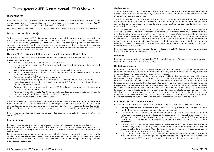# <span id="page-10-0"></span>Textos garantía JEE-O en el Manual JEE-O Shower Cuidado general

### Introducción

El distribuidor de JEE-O, que está autorizado a vender en exclusiva los productos de JEE-O en el país de adquisición y se responsabiliza de ello, le ofrece este manual. El sitio web de JEE-O www.jee-o.com incluye los datos domiciliarios del distribuidor.

Nos enorgullece que haya elegido un producto de JEE-O y deseamos que disfrute de su compra.

### Instrucciones de montaje

Todos los productos de JEE-O disponen de su propio manual de montaje, que encontrará dentro del embalaje suministrado. Estos manuales también se pueden bajar del sitio web www.JEE-O. com en «Downloads» (descargas). Estas instrucciones de montaje específicas del producto son necesarias para instalarlo correctamente. A continuación, se ofrecen algunas instrucciones generales para la instalación de las duchas de JEE-O. El montaje siempre debe ser realizado por un profesional con la debida cualificación.

### Ducha JEE-O - original / fatline / pure / slimline / soho / flow / bloom

Los productos de JEE-O para interior se deben conectar según las normas generales para instalaciones sanitarias.

- El suelo debe ser perfectamente plano e impermeable.
- Las tuberías deben instalarse 8 cm por debajo del suelo acabado y sobresalir en vertical hacia arriba.
- Las tuberías de agua fría y caliente se deben realizar en cobre (Ø 15,3).
- Ambas tuberías se deben colocar con una distancia centro a centro conforme lo indicado en el manual de montaje.
- Conecte manguitos (1/2") a las tuberías soldándolos.
- La parte superior del manguito no puede sobresalir más de 4 cm del suelo acabado.
- Monte las dos tuberías flexibles que salen de la ducha JEE-O sobre los manguitos, frío sobre frío y caliente sobre caliente.
- Antes de finalizar el montaje de la ducha JEE-O, aplique presión sobre el sistema para comprobar su estanqueidad.
- Antes de montar el producto JEE-O, deje que el agua fluya para lavar el sistema y limpiar la tubería, y asegúrese de que se eliminan todos los residuos.
- Monte ahora la ducha JEE-O sobre el suelo.

Algunos modelos de ducha JEE-O también son aptos para su instalación en el exterior, pero recuerde que la ducha no es resistente a las heladas. Si quiere que la ducha JEE-O se pueda utilizar todo el año, se deberán tomar medidas para evitar la congelación. Por eso, le recomendamos desmontar la ducha JEE-O si no se utiliza durante el invierno o usar la técnica anticongelante de JEE-O 365.

Para consultar la información técnica de todos los productos de JEE-O, consulte el sitio web www.JEE-O.com.

### Mantenimiento

Las superficies de acero inoxidable se ensucian o dañan a consecuencia de su uso diario. Los daños o la suciedad externa pueden disminuir la resistencia a la corrosión o incluso provocarla, lo que puede afectar al aspecto del producto. Por eso, el acero inoxidable se debe cuidar con cierta regularidad.

La frecuencia de mantenimiento depende de múltiples factores como la frecuencia de uso, la calidad del agua (cal o agua calcárea), los diferentes acabados, el uso del producto en interiores o exteriores, etc. Aplique nuestras instrucciones generales de mantenimiento y cuidado adaptándolas a su situación específica.

1 - Limpie su producto y los cabezales de ducha al menos cada seis meses para quitar la cal. Si utiliza el producto en condiciones de agua dura o no lo utiliza con mucha frecuencia, límpielo más a menudo, incluso una vez al mes.

2 - Algunos acabados, como el acero inoxidable pulido, son más propensos a mostrar signos de uso diario, como huellas dactilares o residuos de jabón. Si no quiere que esto ocurra, límpielo con regularidad con un paño suave después de usarlo y siga nuestras instrucciones de mantenimiento regular todos los meses.

La ducha JEE-O se ha fabricado con acero inoxidable del tipo 316 o 304. El acabado es cepillado o pulido. Algunas series de JEE-O tienen un revestimiento adicional, como negro mate de efecto martillado (soho), negro estructural, bronce o dorado mate oscuro(slimline) o gris plomo (bloom). Algunas series también se pueden suministrar con un revestimiento en un color RAL. Todos estos revestimientos se producen conforme las normas de calidad más estrictas, pero requieren un mayor cuidado a la hora de la instalación, uso y mantenimiento para evitar dañarlos por golpes o rayaduras. Los rayos ultravioletas y una temperatura extrema pueden influir en la estructura y color de las superficies revestidas.

Para disfrutar durante más tiempo de su producto de JEE-O, deberá seguir las siguientes instrucciones de mantenimiento de sus productos.

### Uso diario

Después de usar los grifos y duchas de JEE-O, límpielos con un paño seco y suave para prevenir las manchas y depósitos del agua al secarse..

### Mantenimiento regular

Limpie los productos de JEE-O con agua templada y un paño suave. Si lo desea, puede usar un jabón suave. Evite utilizar productos químicos agresivos, ácidos o corrosivos. Enjuague siempre con agua después de usar cualquier producto de limpieza.

Le aconsejamos que limpie su ducha de acabado cepillado después de su instalación y con regularidad. Puede limpiarla y protegerla con un limpiador adecuado para acero inoxidable o con JEE-O Protect. Consulte siempre las instrucciones de uso específicas de los productos de limpieza de acero inoxidable. Para los acabados pulidos también aconsejamos limpiar la ducha tras la instalación, pero tenga cuidado al aplicar el limpiador de acero inoxidable. Utilice cantidades limitadas del limpiador y rocíelo en un paño antes de aplicarlo en la ducha. Usar demasiado limpiador o rociarlo directamente en el producto puede causar un efecto de opacidad azul similar al del aceite. Los productos con revestimiento no deben limpiarse con un limpiador de acero inoxidable o con JEE-O Protect. Utilice un vinagre de limpieza natural para limpiar los productos. Los revestimientos de PVD chapados en oro deben limpiarse únicamente con agua tibia.

### Eliminar las manchas y depósitos ligeros

Las manchas y los depósitos ligeros se pueden tratar más intensamente del siguiente modo.

- Los depósitos se deben intentar eliminar primero con agua templada y un paño suave y eventualmente con jabón suave o una solución con alcohol.
- Los productos JEE-O sin revestimientos (con acabado cepillado o sin acabado) se pueden tratar con una esponja y un producto de limpieza de acero inoxidable adecuado como JEE-O Protect. No rocíe el limpiador directamente sobre el producto JEE-O; rocíelo en un paño y luego limpie. Evite usar una esponja que raye. Frote solo en la dirección de pulido del material.
- Los productos pulidos pueden tratarse con un paño suave y un limpiador de acero inoxidable también. Tenga mucho cuidado y rocíe cantidades limitadas de limpiador en un paño suave antes de aplicarlo en la ducha. Usar demasiado limpiador o rociarlo directamente puede causar un efecto de opacidad azul similar al del aceite.
- Los productos con revestimiento no deben limpiarse con un limpiador de acero inoxidable o JEE-O Protect. Utilice un vinagre de limpieza natural para limpiar estos productos. Los revestimientos de PVD chapados en oro deben limpiarse únicamente con agua tibia.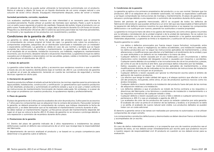El cabezal de la ducha se puede quitar utilizando la herramienta suministrada con el producto. Retire el cabezal y déjelo 24 horas en un líquido disolvente de cal como vinagre natural o una solución de ácido cítrico diluido. Enjuáguelo intensamente después, antes de volver a instalar.

### Suciedad persistente, corrosión, rayaduras

Los acabados cepillado pueden tratarse con más intensidad si es necesario para eliminar la suciedad persistente. Puede utilizar un pulidor de mentales (por ejemplo, Peek) y pulir la ducha con un paño suave siguiendo el patrón de cepillado. Después del pulido, limpie el producto con un paño suave. Puede aplicar JEE-O Protect. Luego, deje el producto durante 12 a 24 horas sin tocarlo. Pregunte a su distribuidor oficial de JEE-O sobre las opciones para tratar las manchas persistentes, la corrosión y las rayaduras en los productos con revestimiento y pulidos.

### Condiciones de la garantía de JEE-O

La garantía es válida desde la fecha de adquisición del producto siempre que se presente el comprobante de compra original (el ticket de caja). La garantía solo cubre los productos y componentes originales, adquiridos de un distribuidor autorizado e instalados por un instalador o especialista certificado. La garantía es válida en caso de uso normal y siempre que se hayan cumplido las instrucciones de montaje y mantenimiento. La garantía no es válida si el defecto es el resultado de un accidente, instalación incorrecta, uso indebido, negligencia, mantenimiento incorrecto, uso incorrecto, desastre natural o situaciones imprevistas. La garantía excluye los daños causados por el desgaste o relacionados con las sacudidas, golpes, caídas o incidentes. La garantía es ofrecida por el distribuidor de JEE-O.

### 1. Campo de aplicación

La garantía cubre todas las duchas, grifos y accesorios que vendemos nosotros o que se venden a través de uno de nuestros distribuidores bajo el nombre de JEE-O. Las condiciones de garantía se aplican en el país de adquisición, teniendo en cuenta las normativas de seguridad y normas técnicas vigentes en dicho país.

### 2. Declaración de garantía

Nuestros productos reflejan el estado actual de la técnica, las normas vigentes para los principios de agua potable, instalaciones, construcción y certificación. Le garantizamos que nuestros productos se han diseñado, producido y suministrado en perfecto estado y que si se usan y tratan conforme las instrucciones de mantenimiento funcionarán de manera adecuada. Sin embargo, si a pesar de ello surge un problema con nuestros productos, le ayudaremos rápida y profesionalmente.

### 3. Plazo de garantía

El plazo de garantía es de 2 años para los acabados de color de productos, 5 años para los accesorios y 7 años para los componentes que se adquieran tras la compra del producto. Para poder reclamar la garantía, se deberá presentar el comprobante de compra, que indique claramente la fecha de adquisición, y se debe demostrar que se ha realizado el mantenimiento correcto durante el año. Se debe realizar un mantenimiento regular. La frecuencia (anual) del mantenimiento depende del lugar en el que se coloca la ducha JEE-O. El plazo de garantía no se renueva o prolonga debido a una reparación o suministro de recambios durante dicho plazo.

### 4. Prestaciones de la garantía

4.1. Dentro del plazo de garantía indicado de 2 años repararemos e instalaremos las piezas defectuosas cuando el defecto sea consecuencia de un error que recaiga bajo la responsabilidad del fabricante.

El departamento de servicio analizará el producto y se basará en su propia competencia para determinar si la garantía cubre el defecto.

### 5. Condiciones de la garantía

La garantía se aplica a los primeros propietarios del producto y a su uso normal. Siempre que los productos JEE-O se adquieran de un vendedor autorizado, los instale un especialista cualificado y se hayan comprobado las instrucciones de montaje y mantenimiento. El plazo de garantía no se renueva o prolonga debido a una reparación o suministro de recambios durante dicho plazo.

Dentro del período de garantía mencionado, JEE-O se ocupará de todos los defectos de fabricación del producto que puedan atribuirse a un error del que sea responsable el fabricante.En la reparación del defecto seremos nosotros los que determinemos si se reparan los componentes defectuosos o se sustituyen por nuevos, pasando los sustituidos a nuestra propiedad.

La garantía no incluye la mano de obra ni los gastos de transporte, así como otros gastos incurridos por la retirada o reinstalación de la unidad original o de la unidad de reemplazo. No se cubren los gastos relacionados con la obtención de acceso para la reparación o los gastos asociados a los materiales adyacentes. La garantía se limita a la reparación y sustitución de los productos.

Nuestra garantía no cubre:

- Los daños o defectos provocados por fuerza mayor (casos fortuitos), incluyendo, entre otros, el mal uso, abuso o negligencia, los daños accidentales, una instalación inadecuada, los daños producidos por no seguir las instrucciones aplicables de mantenimiento, u otras alteraciones o modificaciones que afecten a la fiabilidad o el rendimiento de la unidad y que no sean atribuibles a un defecto en los materiales o la mano de obra.
- Cualquier defecto o lesión causada por el uso inadecuado y por circunstancias o daños imprevistos como resultado del desgaste normal o causados por impactos o accidentes. Cualquier avería debida a la suciedad o a las incrustaciones de cal en los productos y piezas, así como el uso de la ducha al aire libre, que provoque daños inducidos por las heladas.
- Daños causados por no seguir las instrucciones aplicables de mantenimiento, u otras modificaciones distintas de las indicadas en los documentos de instrucciones de instalación y de cuidado que se incluyen en el producto.
- Cualquier defecto o lesión causado por ignorar la información escrita sobre el ámbito de aplicación de nuestros productos.
- Los efectos que tenga la mala calidad del agua y el ataque químico que afectan a la vida útil del producto, incluyendo, entre otros, el uso de productos químicos nocivos como los ácidos minerales.
- Cualquier defecto o lesión debido a la instalación del producto fuera del país de las normas de adquisición relativas a la instalación.
- Los defectos debidos a que el producto se instaló de forma contraria a los requisitos o directrices del fabricante, a los términos o condiciones de instalación o mantenimiento o a los requisitos normativos de cualquier estado o área.
- Cualquier defecto o lesión causado por un acto o fallo o debido a cualquier persona que no pertenezca a JEE-O o sea un empleado o agente de JEE-O.
- Los acabados de color de los productos de cuarzo no estarán cubiertos por esta garantía. El acabado de color se pinta en el exterior de las bañeras y lavabos; si el producto se daña o se astilla, el acabado de cuarzo natural será visible. Los productos dañados se pueden tratar con un coste adicional.

El derecho a garantía vence si las tareas son realizadas por personas no autorizadas o si se utilizan componentes de origen extraño.

Los componentes o productos defectuosos y desmontados se deben devolver franco al distribuidor y acompañados de un escrito.

### 5. Daños

En caso de daños materiales o personales y si se sospecha que uno de nuestros productos sea el causante de estos, se nos deberá avisar inmediatamente por escrito para que podamos recurrir a nuestro seguro de responsabilidad civil. El producto en cuestión se nos deberá enviar para su evaluación.